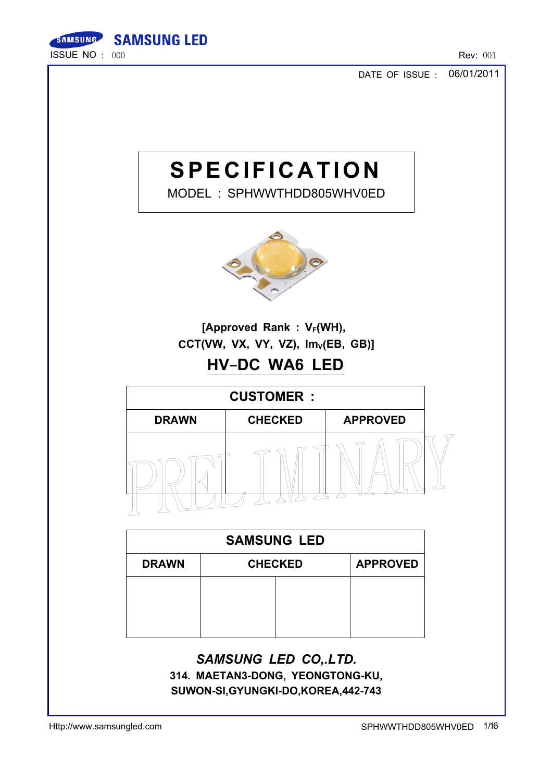

06/01/2011 DATE OF ISSUE :

# **SPECIFICATION**

MODEL : SPHWWTHDD805WHV0ED



[Approved Rank :  $V_F(WH)$ ,  $CCT(VW, VX, VY, VZ), Im_V(EB, GB)]$ 

# HV-DC WA6 LED



| <b>SAMSUNG LED</b>                                |  |  |  |  |
|---------------------------------------------------|--|--|--|--|
| <b>APPROVED</b><br><b>CHECKED</b><br><b>DRAWN</b> |  |  |  |  |
|                                                   |  |  |  |  |
|                                                   |  |  |  |  |
|                                                   |  |  |  |  |

### SAMSUNG LED CO,.LTD.

314. MAETAN3-DONG, YEONGTONG-KU, SUWON-SI,GYUNGKI-DO,KOREA,442-743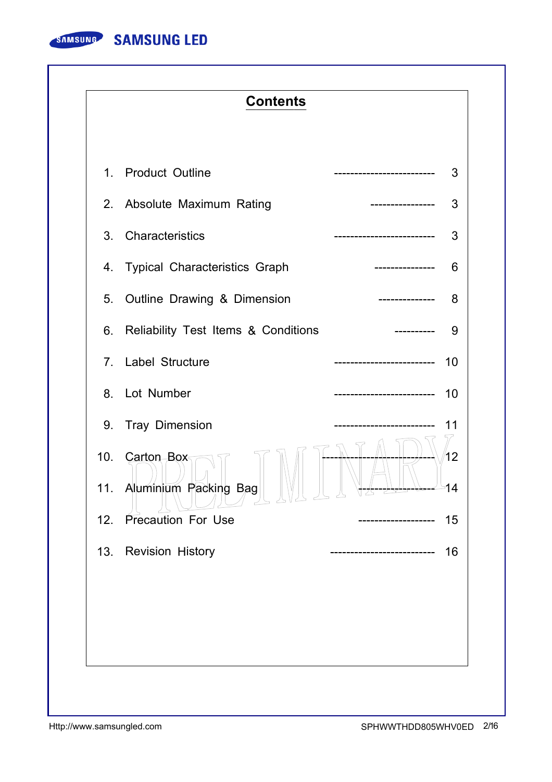

### **Contents**

|                | 1. Product Outline                             | --------------------     | 3        |
|----------------|------------------------------------------------|--------------------------|----------|
|                | 2. Absolute Maximum Rating                     | ---------------          | 3        |
| 3 <sub>1</sub> | Characteristics                                | ---------------------    | 3        |
|                | 4. Typical Characteristics Graph               | -------------            | 6        |
| 5.             | Outline Drawing & Dimension                    | --------------           | 8        |
| 6.             | Reliability Test Items & Conditions            |                          | 9        |
|                | 7. Label Structure                             | ----------------------   | 10       |
|                | 8. Lot Number                                  | ------------------------ | 10       |
| 9.             | <b>Tray Dimension</b>                          |                          | 11       |
| 10.            | <b>Carton Box</b><br>11. Aluminium Packing Bag |                          | 12<br>14 |
| 12.            | <b>Precaution For Use</b>                      |                          | 15       |
| 13.            | <b>Revision History</b>                        |                          | 16       |
|                |                                                |                          |          |
|                |                                                |                          |          |
|                |                                                |                          |          |
|                |                                                |                          |          |
|                |                                                |                          |          |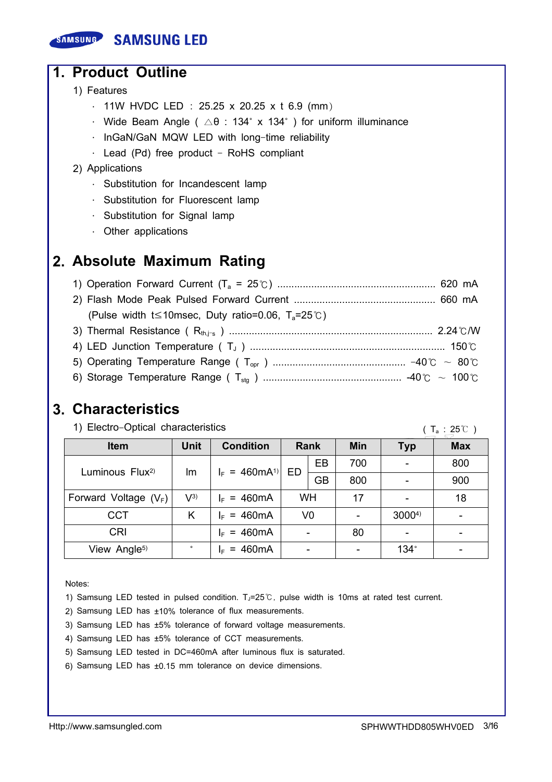### SAMSUNG SAMSUNG LED

### 1. Product Outline

- 1) Features
	- · 11W HVDC LED : 25.25 x 20.25 x t 6.9 (mm)
	- $\cdot$  Wide Beam Angle (  $\triangle$ θ : 134° x 134°) for uniform illuminance
	- · InGaN/GaN MQW LED with long-time reliability
	- $\cdot$  Lead (Pd) free product RoHS compliant

### 2) Applications

- · Substitution for Incandescent lamp
- · Substitution for Fluorescent lamp
- · Substitution for Signal lamp
- · Other applications

### 2. Absolute Maximum Rating

| (Pulse width t 	less 10msec, Duty ratio=0.06, $T_a=25^{\circ}$ ) |  |
|------------------------------------------------------------------|--|
|                                                                  |  |
|                                                                  |  |
|                                                                  |  |
|                                                                  |  |

### 3. Characteristics

1) Electro-Optical characteristics

 $(T_a : 25^{\circ}C)$ 

| <b>Item</b>                 | <b>Unit</b> | <b>Condition</b>          |           | Rank           | <b>Min</b> | <b>Typ</b>  | <b>Max</b> |
|-----------------------------|-------------|---------------------------|-----------|----------------|------------|-------------|------------|
| Luminous Flux <sup>2)</sup> | Im          | $I_F = 460 \text{mA}^{1}$ | ED        | EB             | 700        |             | 800        |
|                             |             |                           |           | <b>GB</b>      | 800        |             | 900        |
| Forward Voltage $(V_F)$     | $V^{3)}$    | $I_F = 460 \text{mA}$     | <b>WH</b> |                | 17         |             | 18         |
| <b>CCT</b>                  | K           | $I_F = 460 \text{mA}$     |           | V <sub>0</sub> |            | 30004)      |            |
| <b>CRI</b>                  |             | $I_F = 460 \text{mA}$     |           |                | 80         |             |            |
| View Angle <sup>5)</sup>    | $\circ$     | $I_F = 460 \text{mA}$     |           |                |            | $134^\circ$ |            |

Notes:

- 1) Samsung LED tested in pulsed condition. T<sub>J</sub>=25℃, pulse width is 10ms at rated test current.
- 2) Samsung LED has ±10% tolerance of flux measurements.
- 3) Samsung LED has ±5% tolerance of forward voltage measurements.
- 4) Samsung LED has ±5% tolerance of CCT measurements.
- 5) Samsung LED tested in DC=460mA after Iuminous flux is saturated.
- 6) Samsung LED has ±0.15 mm tolerance on device dimensions.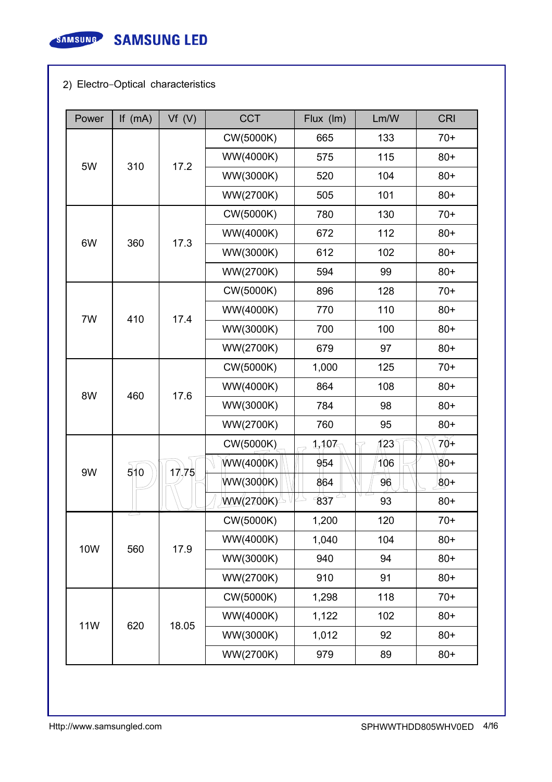

### 2) Electro-Optical characteristics

| Power      | If $(mA)$                | Vf(V)                                  | <b>CCT</b> | Flux (Im) | Lm/W      | <b>CRI</b> |     |       |
|------------|--------------------------|----------------------------------------|------------|-----------|-----------|------------|-----|-------|
|            |                          |                                        | CW(5000K)  | 665       | 133       | $70+$      |     |       |
| 5W         | 310                      |                                        | WW(4000K)  | 575       | 115       | $80+$      |     |       |
|            |                          | 17.2                                   | WW(3000K)  | 520       | 104       | $80 +$     |     |       |
|            |                          |                                        | WW(2700K)  | 505       | 101       | $80+$      |     |       |
|            |                          |                                        | CW(5000K)  | 780       | 130       | $70+$      |     |       |
| 6W         | 360                      |                                        | WW(4000K)  | 672       | 112       | $80+$      |     |       |
|            |                          | 17.3                                   | WW(3000K)  | 612       | 102       | $80 +$     |     |       |
|            |                          |                                        | WW(2700K)  | 594       | 99        | $80+$      |     |       |
|            |                          |                                        | CW(5000K)  | 896       | 128       | $70+$      |     |       |
| 7W         | 410                      | 17.4                                   | WW(4000K)  | 770       | 110       | $80+$      |     |       |
|            |                          |                                        | WW(3000K)  | 700       | 100       | $80+$      |     |       |
|            |                          |                                        | WW(2700K)  | 679       | 97        | $80+$      |     |       |
|            |                          |                                        |            |           | CW(5000K) | 1,000      | 125 | $70+$ |
| 8W         | 460                      | 17.6                                   | WW(4000K)  | 864       | 108       | $80+$      |     |       |
|            |                          |                                        | WW(3000K)  | 784       | 98        | $80+$      |     |       |
|            |                          |                                        | WW(2700K)  | 760       | 95        | $80+$      |     |       |
|            |                          |                                        | CW(5000K)  | 1,107     | 123       | $70+$      |     |       |
|            | 9W<br>510                | 17.75                                  | WW(4000K)  | 954       | 106       | $80 +$     |     |       |
|            |                          | WW(3000K)<br>864                       | 96         | $80 +$    |           |            |     |       |
|            |                          |                                        | WW(2700K)  | 837       | 93        | $80+$      |     |       |
|            |                          |                                        | CW(5000K)  | 1,200     | 120       | $70+$      |     |       |
| <b>10W</b> |                          |                                        | WW(4000K)  | 1,040     | 104       | $80+$      |     |       |
|            | 560<br>17.9<br>WW(3000K) | 940                                    | 94         | $80+$     |           |            |     |       |
|            |                          |                                        | WW(2700K)  | 910       | 91        | $80+$      |     |       |
|            |                          |                                        | CW(5000K)  | 1,298     | 118       | $70+$      |     |       |
| <b>11W</b> |                          | WW(4000K)<br>620<br>18.05<br>WW(3000K) | 1,122      | 102       | $80+$     |            |     |       |
|            |                          |                                        |            | 1,012     | 92        | $80+$      |     |       |
|            |                          |                                        | WW(2700K)  | 979       | 89        | $80+$      |     |       |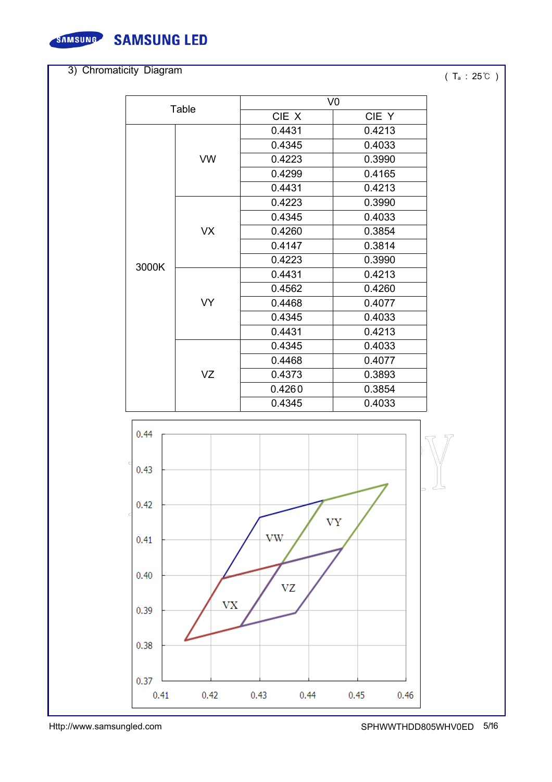

**SAMSUNG SAMSUNG LED** 

### 3) Chromaticity Diagram

### ( T<sup>a</sup> : 25℃ )

| Table |           | V <sub>0</sub>                                                               |        |  |
|-------|-----------|------------------------------------------------------------------------------|--------|--|
|       |           | CIE X                                                                        | CIE Y  |  |
|       |           | 0.4431                                                                       | 0.4213 |  |
|       |           | 0.4345                                                                       | 0.4033 |  |
|       | <b>VW</b> | 0.4223                                                                       | 0.3990 |  |
|       |           | 0.4299                                                                       | 0.4165 |  |
|       |           | 0.4431                                                                       | 0.4213 |  |
|       |           | 0.4223                                                                       | 0.3990 |  |
|       |           | 0.4345                                                                       | 0.4033 |  |
|       | <b>VX</b> | 0.4260                                                                       | 0.3854 |  |
|       |           | 0.4147                                                                       | 0.3814 |  |
| 3000K |           | 0.4223                                                                       | 0.3990 |  |
|       |           | 0.4431                                                                       | 0.4213 |  |
|       |           | 0.4562                                                                       | 0.4260 |  |
|       | <b>VY</b> | 0.4468                                                                       | 0.4077 |  |
|       |           | 0.4345                                                                       | 0.4033 |  |
|       |           | 0.4431                                                                       | 0.4213 |  |
|       |           | 0.4345                                                                       | 0.4033 |  |
|       |           | 0.4468<br>0.4077<br>0.4373<br>0.3893<br>0.4260<br>0.3854<br>0.4345<br>0.4033 |        |  |
|       | VZ        |                                                                              |        |  |
|       |           |                                                                              |        |  |
|       |           |                                                                              |        |  |

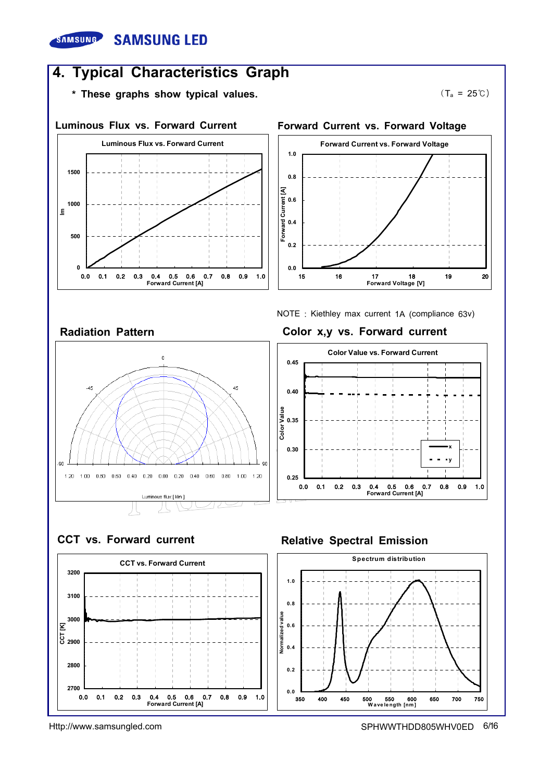### **SAMSUNG SAMSUNG LED**

### 4. Typical Characteristics Graph

\* These graphs show typical values.



 $(T_a = 25^{\circ}C)$ 





### NOTE : Kiethley max current 1A (compliance 63v) Radiation Pattern **Color x,y vs. Forward current**



### CCT vs. Forward current Relative Spectral Emission



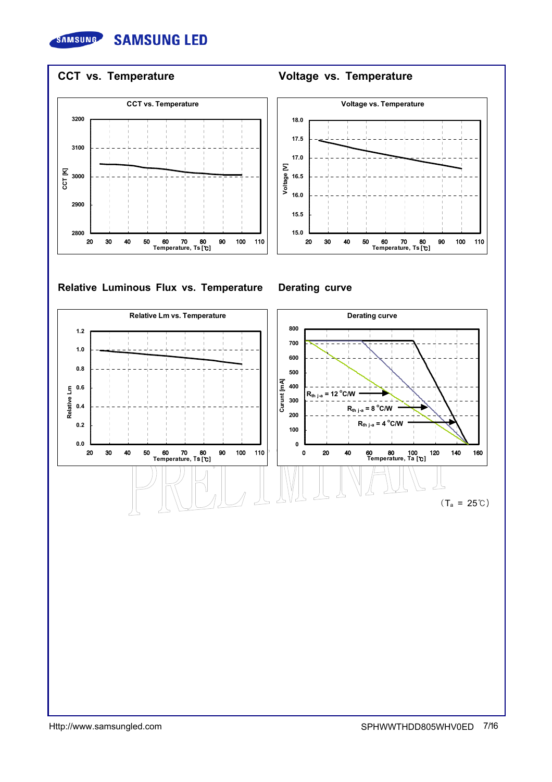



### Relative Luminous Flux vs. Temperature Derating curve

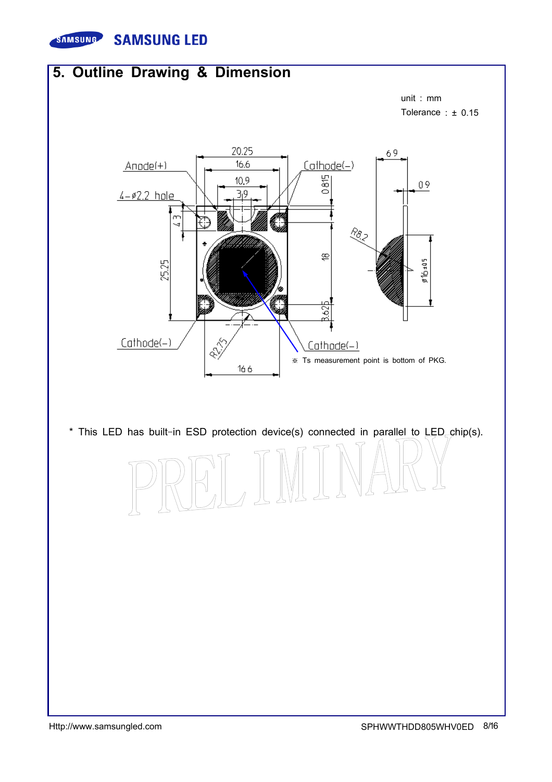

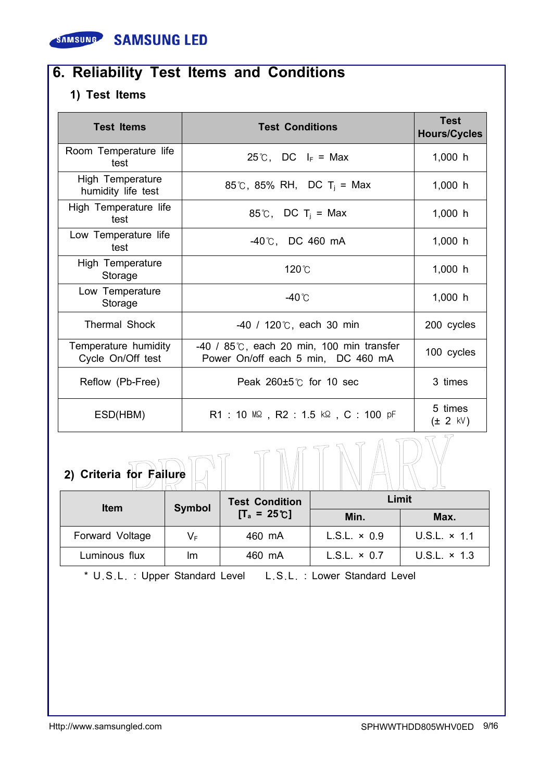

## 6. Reliability Test Items and Conditions

### 1) Test Items

| <b>Test Items</b>                         | <b>Test Conditions</b>                                                                      | <b>Test</b><br><b>Hours/Cycles</b> |
|-------------------------------------------|---------------------------------------------------------------------------------------------|------------------------------------|
| Room Temperature life<br>test             | 25°C, DC $I_F$ = Max                                                                        | 1,000 h                            |
| High Temperature<br>humidity life test    | 85°C, 85% RH, DC T <sub>i</sub> = Max                                                       | 1,000 h                            |
| High Temperature life<br>test             | 85°C, DC T <sub>i</sub> = Max                                                               | 1,000 h                            |
| Low Temperature life<br>test              | $-40^{\circ}$ C, DC 460 mA                                                                  | 1,000 h                            |
| High Temperature<br>Storage               | 120℃                                                                                        | 1,000 h                            |
| Low Temperature<br>Storage                | -40℃                                                                                        | 1,000 h                            |
| <b>Thermal Shock</b>                      | $-40$ / 120 $\degree$ C, each 30 min                                                        | 200 cycles                         |
| Temperature humidity<br>Cycle On/Off test | $-40$ / 85 $\degree$ C, each 20 min, 100 min transfer<br>Power On/off each 5 min, DC 460 mA | 100 cycles                         |
| Reflow (Pb-Free)                          | Peak $260 \pm 5^\circ$ for 10 sec                                                           | 3 times                            |
| ESD(HBM)                                  | $R1$ : 10 MQ , $R2$ : 1.5 kQ , C : 100 pF                                                   | 5 times<br>$(\pm 2$ kV)            |

| 2) Criteria for Failure |        |            |
|-------------------------|--------|------------|
|                         | -- - - | $1.3 - 14$ |

| <b>Item</b>     | Symbol      | Limit<br><b>Test Condition</b> |                     |                     |
|-----------------|-------------|--------------------------------|---------------------|---------------------|
|                 |             | $[T_a = 25^{\circ}C]$          | Min.                | Max.                |
| Forward Voltage | $V_{\rm F}$ | 460 mA                         | $L.S.L. \times 0.9$ | U.S.L. $\times$ 1.1 |
| Luminous flux   | Im          | 460 mA                         | $L.S.L. \times 0.7$ | U.S.L. $\times$ 1.3 |

\* U.S.L. : Upper Standard Level L.S.L. : Lower Standard Level

 $\overline{\phantom{0}}$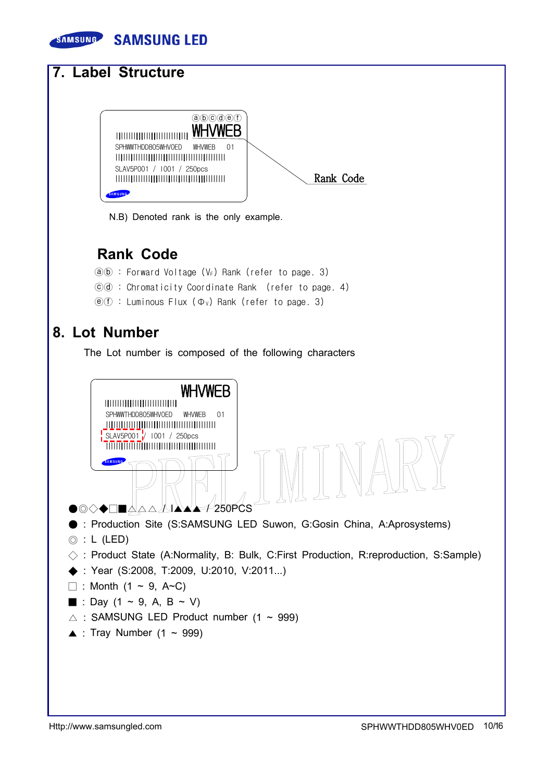

N.B) Denoted rank is the only example.

### Rank Code

- $\overline{a}$  (b) : Forward Voltage (V<sub>F</sub>) Rank (refer to page. 3)
- ⓒⓓ : Chromaticity Coordinate Rank (refer to page. 4)
- $(\widehat{e})(\widehat{f})$  : Luminous Flux  $(\Phi_{V})$  Rank (refer to page. 3)

### 8. Lot Number

The Lot number is composed of the following characters

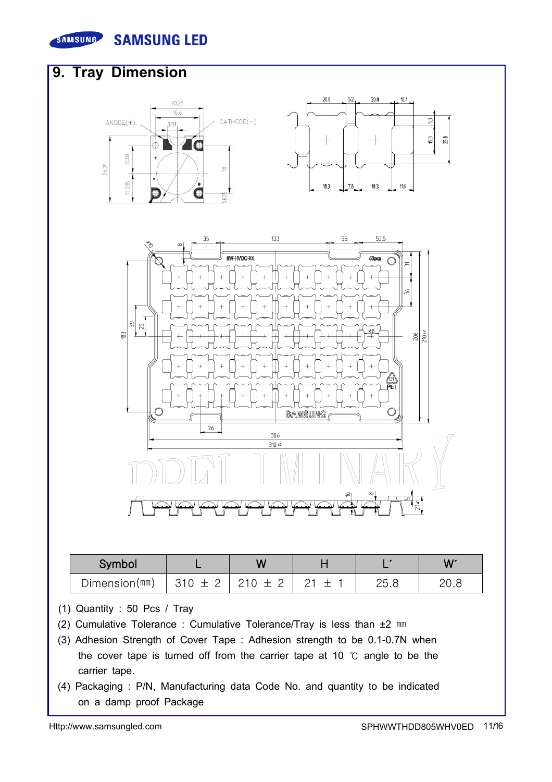



- (1) Quantity : 50 Pcs / Tray
- (2) Cumulative Tolerance : Cumulative Tolerance/Tray is less than ±2 ㎜
- (3) Adhesion Strength of Cover Tape : Adhesion strength to be 0.1-0.7N when the cover tape is turned off from the carrier tape at 10 ℃ angle to be the carrier tape.
- (4) Packaging : P/N, Manufacturing data Code No. and quantity to be indicated on a damp proof Package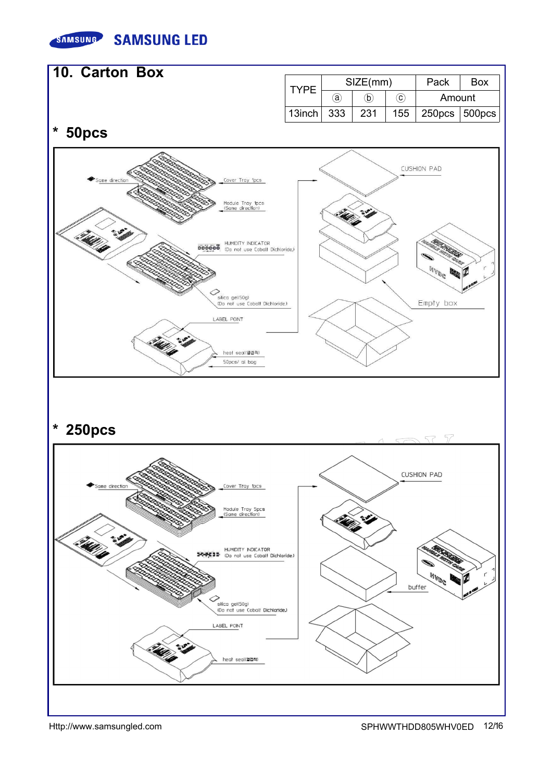



Http://www.samsungled.com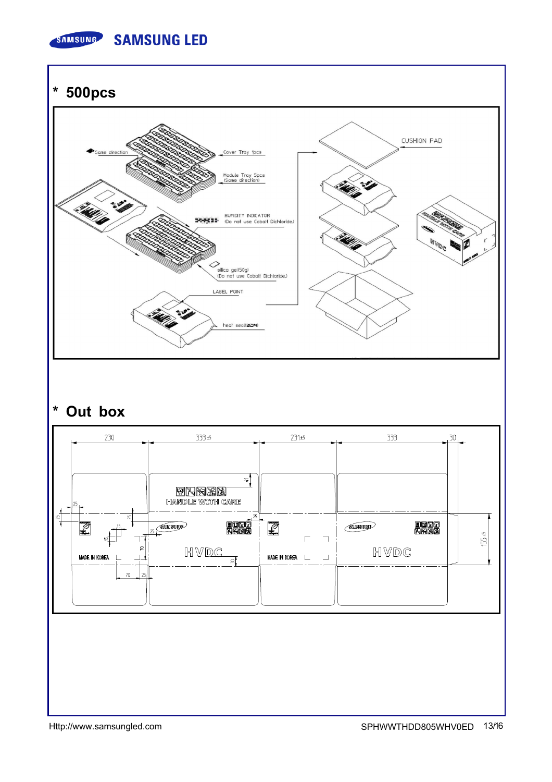

\* 500pcs



## \* Out box

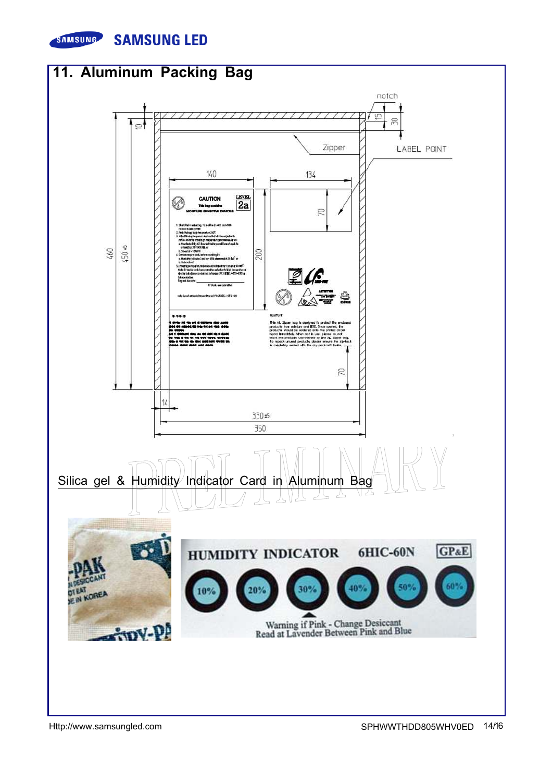

**SAMSUNG LED** 



Http://www.samsungled.com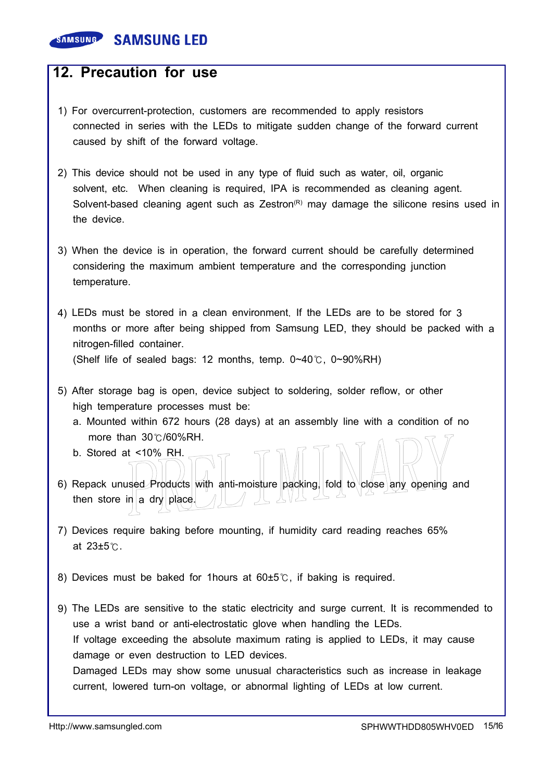### **SAMSUNG SAMSUNG LED**

### 12. Precaution for use

- 1) For overcurrent-protection, customers are recommended to apply resistors connected in series with the LEDs to mitigate sudden change of the forward current caused by shift of the forward voltage.
- 2) This device should not be used in any type of fluid such as water, oil, organic solvent, etc. When cleaning is required, IPA is recommended as cleaning agent. Solvent-based cleaning agent such as Zestron $(P)$  may damage the silicone resins used in the device.
- 3) When the device is in operation, the forward current should be carefully determined considering the maximum ambient temperature and the corresponding junction temperature.
- 4) LEDs must be stored in a clean environment. If the LEDs are to be stored for 3 months or more after being shipped from Samsung LED, they should be packed with a nitrogen-filled container.

(Shelf life of sealed bags: 12 months, temp. 0~40℃, 0~90%RH)

- 5) After storage bag is open, device subject to soldering, solder reflow, or other high temperature processes must be:
	- a. Mounted within 672 hours (28 days) at an assembly line with a condition of no more than 30℃/60%RH.
	- b. Stored at <10% RH.
- 6) Repack unused Products with anti-moisture packing, fold to close any opening and then store in a dry place.
- 7) Devices require baking before mounting, if humidity card reading reaches 65% at 23±5℃.
- 8) Devices must be baked for 1 hours at 60±5℃, if baking is required.
- 9) The LEDs are sensitive to the static electricity and surge current. It is recommended to use a wrist band or anti-electrostatic glove when handling the LEDs. If voltage exceeding the absolute maximum rating is applied to LEDs, it may cause damage or even destruction to LED devices. Damaged LEDs may show some unusual characteristics such as increase in leakage current, lowered turn-on voltage, or abnormal lighting of LEDs at low current.